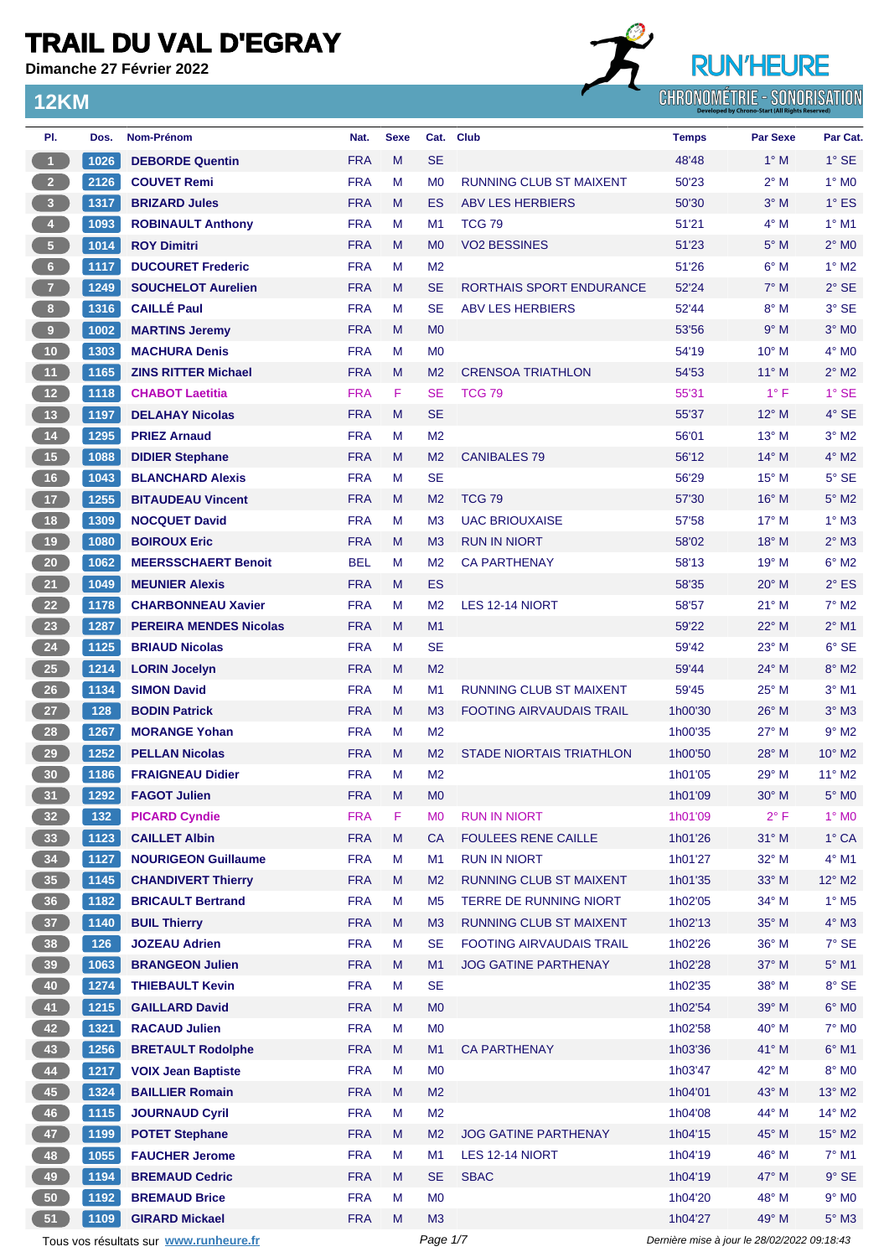**Dimanche 27 Février 2022**

**12KM**



| PI.                     | Dos.           | <b>Nom-Prénom</b>                      | Nat.       | <b>Sexe</b> |                | Cat. Club                       | <b>Temps</b>                                | <b>Par Sexe</b> | Par Cat.                    |
|-------------------------|----------------|----------------------------------------|------------|-------------|----------------|---------------------------------|---------------------------------------------|-----------------|-----------------------------|
| $\mathbf{1}$            | 1026           | <b>DEBORDE Quentin</b>                 | <b>FRA</b> | M           | <b>SE</b>      |                                 | 48'48                                       | $1^\circ$ M     | $1^\circ$ SE                |
| 2 <sup>7</sup>          | 2126           | <b>COUVET Remi</b>                     | <b>FRA</b> | М           | M <sub>0</sub> | <b>RUNNING CLUB ST MAIXENT</b>  | 50'23                                       | $2^{\circ}$ M   | $1^\circ$ MO                |
| $\overline{\mathbf{3}}$ | 1317           | <b>BRIZARD Jules</b>                   | <b>FRA</b> | M           | <b>ES</b>      | <b>ABV LES HERBIERS</b>         | 50'30                                       | $3^\circ$ M     | $1^\circ$ ES                |
| $\overline{4}$          | 1093           | <b>ROBINAULT Anthony</b>               | <b>FRA</b> | М           | M <sub>1</sub> | <b>TCG 79</b>                   | 51'21                                       | $4^\circ$ M     | $1°$ M1                     |
| $\sqrt{5}$              | 1014           | <b>ROY Dimitri</b>                     | <b>FRA</b> | M           | M <sub>0</sub> | <b>VO2 BESSINES</b>             | 51'23                                       | $5^\circ$ M     | $2^{\circ}$ MO              |
| $6\phantom{.}6$         | 1117           | <b>DUCOURET Frederic</b>               | <b>FRA</b> | М           | M <sub>2</sub> |                                 | 51'26                                       | $6^\circ$ M     | $1^\circ$ M2                |
| $\overline{7}$          | 1249           | <b>SOUCHELOT Aurelien</b>              | <b>FRA</b> | M           | <b>SE</b>      | RORTHAIS SPORT ENDURANCE        | 52'24                                       | $7^\circ$ M     | $2°$ SE                     |
| 8 <sup>1</sup>          | 1316           | <b>CAILLÉ Paul</b>                     | <b>FRA</b> | М           | <b>SE</b>      | <b>ABV LES HERBIERS</b>         | 52'44                                       | $8^\circ$ M     | 3° SE                       |
| $\overline{9}$          | 1002           | <b>MARTINS Jeremy</b>                  | <b>FRA</b> | M           | M <sub>0</sub> |                                 | 53'56                                       | 9° M            | $3°$ MO                     |
| 10                      | 1303           | <b>MACHURA Denis</b>                   | <b>FRA</b> | М           | M <sub>0</sub> |                                 | 54'19                                       | 10° M           | $4^\circ$ MO                |
| 11                      | 1165           | <b>ZINS RITTER Michael</b>             | <b>FRA</b> | M           | M <sub>2</sub> | <b>CRENSOA TRIATHLON</b>        | 54'53                                       | $11^{\circ}$ M  | $2^{\circ}$ M2              |
| $12$                    | 1118           | <b>CHABOT Laetitia</b>                 | <b>FRA</b> | F           | <b>SE</b>      | <b>TCG 79</b>                   | 55'31                                       | $1^{\circ}$ F   | $1^\circ$ SE                |
| $13$                    | 1197           | <b>DELAHAY Nicolas</b>                 | <b>FRA</b> | M           | <b>SE</b>      |                                 | 55'37                                       | $12^{\circ}$ M  | 4° SE                       |
| 14                      | 1295           | <b>PRIEZ Arnaud</b>                    | <b>FRA</b> | М           | M <sub>2</sub> |                                 | 56'01                                       | $13^{\circ}$ M  | $3^\circ$ M2                |
| 15                      | 1088           | <b>DIDIER Stephane</b>                 | <b>FRA</b> | M           | M <sub>2</sub> | <b>CANIBALES 79</b>             | 56'12                                       | $14^{\circ}$ M  | $4^{\circ}$ M2              |
| 16                      | 1043           | <b>BLANCHARD Alexis</b>                | <b>FRA</b> | М           | <b>SE</b>      |                                 | 56'29                                       | $15^{\circ}$ M  | $5^\circ$ SE                |
| 17                      | 1255           | <b>BITAUDEAU Vincent</b>               | <b>FRA</b> | M           | M <sub>2</sub> | <b>TCG 79</b>                   | 57'30                                       | $16^{\circ}$ M  | $5^\circ$ M2                |
| 18                      | 1309           | <b>NOCQUET David</b>                   | <b>FRA</b> | М           | M <sub>3</sub> | <b>UAC BRIOUXAISE</b>           | 57'58                                       | $17^{\circ}$ M  | $1^\circ$ M3                |
| 19                      | 1080           | <b>BOIROUX Eric</b>                    | <b>FRA</b> | M           | M <sub>3</sub> | <b>RUN IN NIORT</b>             | 58'02                                       | 18° M           | $2^{\circ}$ M3              |
| $20\,$                  | 1062           | <b>MEERSSCHAERT Benoit</b>             | <b>BEL</b> | М           | M <sub>2</sub> | <b>CA PARTHENAY</b>             | 58'13                                       | $19°$ M         | $6^{\circ}$ M2              |
| 21                      | 1049           | <b>MEUNIER Alexis</b>                  | <b>FRA</b> | M           | <b>ES</b>      |                                 | 58'35                                       | $20^\circ$ M    | $2^{\circ}$ ES              |
| 22                      | 1178           | <b>CHARBONNEAU Xavier</b>              | <b>FRA</b> | М           | M <sub>2</sub> | LES 12-14 NIORT                 | 58'57                                       | $21°$ M         | $7^\circ$ M2                |
| 23                      | 1287           | <b>PEREIRA MENDES Nicolas</b>          | <b>FRA</b> | M           | M <sub>1</sub> |                                 | 59'22                                       | 22° M           | $2^{\circ}$ M1              |
| ${\bf 24}$              | 1125           | <b>BRIAUD Nicolas</b>                  | <b>FRA</b> | М           | <b>SE</b>      |                                 | 59'42                                       | $23^\circ$ M    | 6° SE                       |
| 25                      | 1214           | <b>LORIN Jocelyn</b>                   | <b>FRA</b> | M           | M <sub>2</sub> |                                 | 59'44                                       | $24^{\circ}$ M  | $8^\circ$ M2                |
| 26                      | 1134           | <b>SIMON David</b>                     | <b>FRA</b> | М           | M1             | <b>RUNNING CLUB ST MAIXENT</b>  | 59'45                                       | $25^{\circ}$ M  | $3°$ M1                     |
| 27                      | 128            | <b>BODIN Patrick</b>                   | <b>FRA</b> | M           | M <sub>3</sub> | <b>FOOTING AIRVAUDAIS TRAIL</b> | 1h00'30                                     | $26^{\circ}$ M  | $3°$ M $3$                  |
| 28                      | 1267           | <b>MORANGE Yohan</b>                   | <b>FRA</b> | М           | M <sub>2</sub> |                                 | 1h00'35                                     | $27^\circ$ M    | $9^\circ$ M2                |
| 29                      | 1252           | <b>PELLAN Nicolas</b>                  | <b>FRA</b> | М           | M <sub>2</sub> | <b>STADE NIORTAIS TRIATHLON</b> | 1h00'50                                     | $28^\circ$ M    | $10^{\circ}$ M <sub>2</sub> |
| 30                      | 1186           | <b>FRAIGNEAU Didier</b>                | <b>FRA</b> | Μ           | M <sub>2</sub> |                                 | 1h01'05                                     | $29°$ M         | $11^{\circ}$ M2             |
| $\left( 31 \right)$     | $ 1292\rangle$ | <b>FAGOT Julien</b>                    | <b>FRA</b> | M           | MO             |                                 | 1h01'09                                     | 30° M           | $5^{\circ}$ MO              |
| 32 <sub>2</sub>         | 132            | <b>PICARD Cyndie</b>                   | <b>FRA</b> | F           | M <sub>0</sub> | <b>RUN IN NIORT</b>             | 1h01'09                                     | $2^{\circ}$ F   | 1° MO                       |
| 33                      | 1123           | <b>CAILLET Albin</b>                   | <b>FRA</b> | M           | <b>CA</b>      | <b>FOULEES RENE CAILLE</b>      | 1h01'26                                     | 31° M           | $1^\circ$ CA                |
| 34                      | 1127           | <b>NOURIGEON Guillaume</b>             | <b>FRA</b> | M           | M1             | <b>RUN IN NIORT</b>             | 1h01'27                                     | 32° M           | $4^\circ$ M1                |
| 35 <sub>5</sub>         | 1145           | <b>CHANDIVERT Thierry</b>              | <b>FRA</b> | M           | M <sub>2</sub> | RUNNING CLUB ST MAIXENT         | 1h01'35                                     | 33° M           | 12° M2                      |
| 36                      | 1182           | <b>BRICAULT Bertrand</b>               | <b>FRA</b> | М           | M <sub>5</sub> | TERRE DE RUNNING NIORT          | 1h02'05                                     | 34° M           | $1^\circ$ M <sub>5</sub>    |
| 37                      | 1140           | <b>BUIL Thierry</b>                    | <b>FRA</b> | M           | M <sub>3</sub> | <b>RUNNING CLUB ST MAIXENT</b>  | 1h02'13                                     | 35° M           | $4^\circ$ M3                |
| 38                      | 126            | <b>JOZEAU Adrien</b>                   | <b>FRA</b> | М           | <b>SE</b>      | <b>FOOTING AIRVAUDAIS TRAIL</b> | 1h02'26                                     | 36° M           | $7°$ SE                     |
| 39                      | 1063           | <b>BRANGEON Julien</b>                 | <b>FRA</b> | M           | M1             | <b>JOG GATINE PARTHENAY</b>     | 1h02'28                                     | 37° M           | $5^\circ$ M1                |
| 40                      | 1274           | <b>THIEBAULT Kevin</b>                 | <b>FRA</b> | М           | <b>SE</b>      |                                 | 1h02'35                                     | 38° M           | 8° SE                       |
| 41                      | 1215           | <b>GAILLARD David</b>                  | <b>FRA</b> | M           | M <sub>0</sub> |                                 | 1h02'54                                     | 39° M           | $6^{\circ}$ MO              |
| 42                      | 1321           | <b>RACAUD Julien</b>                   | <b>FRA</b> | M           | M <sub>0</sub> |                                 | 1h02'58                                     | 40° M           | $7^\circ$ MO                |
| 43                      | 1256           | <b>BRETAULT Rodolphe</b>               | <b>FRA</b> | M           | M1             | <b>CA PARTHENAY</b>             | 1h03'36                                     | 41° M           | $6^{\circ}$ M1              |
| 44                      | 1217           | <b>VOIX Jean Baptiste</b>              | <b>FRA</b> | М           | M <sub>0</sub> |                                 | 1h03'47                                     | 42° M           | 8° MO                       |
| 45                      | 1324           | <b>BAILLIER Romain</b>                 | <b>FRA</b> | M           | M <sub>2</sub> |                                 | 1h04'01                                     | 43° M           | 13° M2                      |
| 46                      | 1115           | <b>JOURNAUD Cyril</b>                  | <b>FRA</b> | M           | M <sub>2</sub> |                                 | 1h04'08                                     | 44° M           | 14° M2                      |
| 47                      | 1199           | <b>POTET Stephane</b>                  | <b>FRA</b> | M           | M <sub>2</sub> | <b>JOG GATINE PARTHENAY</b>     | 1h04'15                                     | 45° M           | $15^{\circ}$ M2             |
| 48                      | 1055           | <b>FAUCHER Jerome</b>                  | <b>FRA</b> | M           | M1             | LES 12-14 NIORT                 | 1h04'19                                     | 46° M           | $7^\circ$ M1                |
| 49                      | 1194           | <b>BREMAUD Cedric</b>                  | <b>FRA</b> | M           | <b>SE</b>      | <b>SBAC</b>                     | 1h04'19                                     | 47° M           | $9°$ SE                     |
| 50                      | 1192           | <b>BREMAUD Brice</b>                   | <b>FRA</b> | M           | M <sub>0</sub> |                                 | 1h04'20                                     | 48° M           | $9°$ MO                     |
| 51                      | 1109           | <b>GIRARD Mickael</b>                  | <b>FRA</b> | M           | M3             |                                 | 1h04'27                                     | 49° M           | $5^\circ$ M3                |
|                         |                | Tous vos résultats sur www.runheure.fr |            |             | Page 1/7       |                                 | Dernière mise à jour le 28/02/2022 09:18:43 |                 |                             |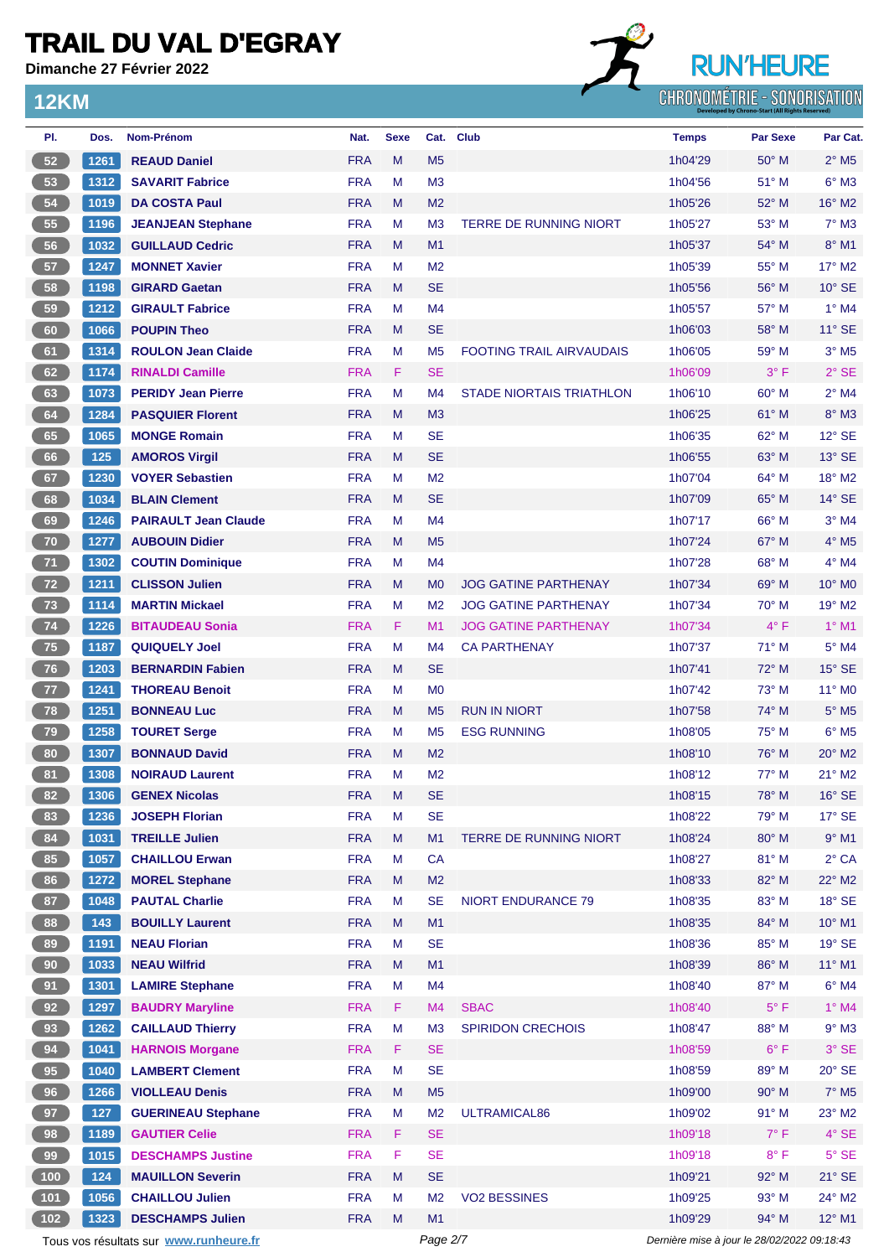**Dimanche 27 Février 2022**

**12KM**

# **RUN'HEURE**

**CHRONOMÉTRIE - SONORISATION** 

| PI.             | Dos. | Nom-Prénom                             | Nat.       | <b>Sexe</b> |                | Cat. Club                       | <b>Temps</b>                                | <b>Par Sexe</b> | Par Cat.                    |
|-----------------|------|----------------------------------------|------------|-------------|----------------|---------------------------------|---------------------------------------------|-----------------|-----------------------------|
| 52              | 1261 | <b>REAUD Daniel</b>                    | <b>FRA</b> | M           | M <sub>5</sub> |                                 | 1h04'29                                     | 50° M           | $2^{\circ}$ M <sub>5</sub>  |
| 53              | 1312 | <b>SAVARIT Fabrice</b>                 | <b>FRA</b> | М           | M <sub>3</sub> |                                 | 1h04'56                                     | $51^{\circ}$ M  | $6^{\circ}$ M3              |
| 54              | 1019 | <b>DA COSTA Paul</b>                   | <b>FRA</b> | M           | M <sub>2</sub> |                                 | 1h05'26                                     | $52^{\circ}$ M  | $16^{\circ}$ M2             |
| 55              | 1196 | <b>JEANJEAN Stephane</b>               | <b>FRA</b> | M           | M <sub>3</sub> | <b>TERRE DE RUNNING NIORT</b>   | 1h05'27                                     | 53° M           | $7^\circ$ M3                |
| 56              | 1032 | <b>GUILLAUD Cedric</b>                 | <b>FRA</b> | M           | M1             |                                 | 1h05'37                                     | $54^{\circ}$ M  | $8^\circ$ M1                |
| 57              | 1247 | <b>MONNET Xavier</b>                   | <b>FRA</b> | м           | M <sub>2</sub> |                                 | 1h05'39                                     | $55^{\circ}$ M  | 17° M2                      |
| 58              | 1198 | <b>GIRARD Gaetan</b>                   | <b>FRA</b> | M           | <b>SE</b>      |                                 | 1h05'56                                     | $56^{\circ}$ M  | $10^{\circ}$ SE             |
| 59              | 1212 | <b>GIRAULT Fabrice</b>                 | <b>FRA</b> | м           | M <sub>4</sub> |                                 | 1h05'57                                     | $57^\circ$ M    | $1^\circ$ M4                |
| 60              | 1066 | <b>POUPIN Theo</b>                     | <b>FRA</b> | M           | <b>SE</b>      |                                 | 1h06'03                                     | $58^\circ$ M    | $11^{\circ}$ SE             |
| 61              | 1314 | <b>ROULON Jean Claide</b>              | <b>FRA</b> | M           | M <sub>5</sub> | <b>FOOTING TRAIL AIRVAUDAIS</b> | 1h06'05                                     | 59° M           | $3°$ M <sub>5</sub>         |
| 62              | 1174 | <b>RINALDI Camille</b>                 | <b>FRA</b> | F.          | <b>SE</b>      |                                 | 1h06'09                                     | $3^{\circ}$ F   | $2°$ SE                     |
| 63              | 1073 | <b>PERIDY Jean Pierre</b>              | <b>FRA</b> | M           | M <sub>4</sub> | <b>STADE NIORTAIS TRIATHLON</b> | 1h06'10                                     | $60^\circ$ M    | $2^{\circ}$ M4              |
| 64              | 1284 | <b>PASQUIER Florent</b>                | <b>FRA</b> | M           | M <sub>3</sub> |                                 | 1h06'25                                     | $61^\circ$ M    | $8^\circ$ M3                |
| 65              | 1065 | <b>MONGE Romain</b>                    | <b>FRA</b> | м           | <b>SE</b>      |                                 | 1h06'35                                     | $62^{\circ}$ M  | $12^{\circ}$ SE             |
| 66              | 125  | <b>AMOROS Virgil</b>                   | <b>FRA</b> | M           | <b>SE</b>      |                                 | 1h06'55                                     | 63° M           | $13^\circ$ SE               |
| 67              | 1230 | <b>VOYER Sebastien</b>                 | <b>FRA</b> | М           | M <sub>2</sub> |                                 | 1h07'04                                     | $64^{\circ}$ M  | $18^{\circ}$ M <sub>2</sub> |
| 68              | 1034 | <b>BLAIN Clement</b>                   | <b>FRA</b> | M           | <b>SE</b>      |                                 | 1h07'09                                     | $65^{\circ}$ M  | $14^{\circ}$ SE             |
| 69              | 1246 | <b>PAIRAULT Jean Claude</b>            | <b>FRA</b> | M           | M <sub>4</sub> |                                 | 1h07'17                                     | $66^{\circ}$ M  | $3°$ M4                     |
| 70              | 1277 | <b>AUBOUIN Didier</b>                  | <b>FRA</b> | M           | M <sub>5</sub> |                                 | 1h07'24                                     | 67° M           | $4^\circ$ M <sub>5</sub>    |
| 71              | 1302 | <b>COUTIN Dominique</b>                | <b>FRA</b> | м           | M <sub>4</sub> |                                 | 1h07'28                                     | $68^{\circ}$ M  | $4^\circ$ M4                |
| 72              | 1211 | <b>CLISSON Julien</b>                  | <b>FRA</b> | M           | M <sub>0</sub> | <b>JOG GATINE PARTHENAY</b>     | 1h07'34                                     | 69° M           | $10^{\circ}$ M <sub>0</sub> |
| 73              | 1114 | <b>MARTIN Mickael</b>                  | <b>FRA</b> | м           | M <sub>2</sub> | <b>JOG GATINE PARTHENAY</b>     | 1h07'34                                     | $70^\circ$ M    | $19^\circ$ M <sub>2</sub>   |
| 74              | 1226 | <b>BITAUDEAU Sonia</b>                 | <b>FRA</b> | F           | M <sub>1</sub> | <b>JOG GATINE PARTHENAY</b>     | 1h07'34                                     | $4^{\circ}$ F   | $1^\circ$ M1                |
| 75              | 1187 | <b>QUIQUELY Joel</b>                   | <b>FRA</b> | M           | M4             | <b>CA PARTHENAY</b>             | 1h07'37                                     | $71^\circ$ M    | $5^\circ$ M4                |
| 76              | 1203 | <b>BERNARDIN Fabien</b>                | <b>FRA</b> | M           | <b>SE</b>      |                                 | 1h07'41                                     | $72^{\circ}$ M  | $15^\circ$ SE               |
| 77              | 1241 | <b>THOREAU Benoit</b>                  | <b>FRA</b> | M           | M <sub>0</sub> |                                 | 1h07'42                                     | 73° M           | $11^{\circ}$ MO             |
| 78              | 1251 | <b>BONNEAU Luc</b>                     | <b>FRA</b> | M           | M <sub>5</sub> | <b>RUN IN NIORT</b>             | 1h07'58                                     | $74^\circ$ M    | $5^{\circ}$ M <sub>5</sub>  |
| 79              | 1258 | <b>TOURET Serge</b>                    | <b>FRA</b> | М           | M <sub>5</sub> | <b>ESG RUNNING</b>              | 1h08'05                                     | $75^{\circ}$ M  | $6^{\circ}$ M <sub>5</sub>  |
| 80              | 1307 | <b>BONNAUD David</b>                   | <b>FRA</b> | M           | M <sub>2</sub> |                                 | 1h08'10                                     | $76^{\circ}$ M  | $20^\circ$ M <sub>2</sub>   |
| 81              | 1308 | <b>NOIRAUD Laurent</b>                 | <b>FRA</b> | M           | M <sub>2</sub> |                                 | 1h08'12                                     | $77^\circ$ M    | 21° M2                      |
| 82 <sup>2</sup> | 1306 | <b>GENEX Nicolas</b>                   | <b>FRA</b> | м           | <b>SE</b>      |                                 | 1h08'15                                     | $78^\circ$ M    | $16^\circ$ SE               |
| 83              | 1236 | <b>JOSEPH Florian</b>                  | <b>FRA</b> | M           | <b>SE</b>      |                                 | 1h08'22                                     | 79° M           | 17° SE                      |
| 84              | 1031 | <b>TREILLE Julien</b>                  | <b>FRA</b> | ${\sf M}$   | M1             | TERRE DE RUNNING NIORT          | 1h08'24                                     | 80° M           | $9°$ M1                     |
| 85              | 1057 | <b>CHAILLOU Erwan</b>                  | <b>FRA</b> | M           | CA             |                                 | 1h08'27                                     | 81° M           | $2^{\circ}$ CA              |
| 86              | 1272 | <b>MOREL Stephane</b>                  | <b>FRA</b> | M           | M <sub>2</sub> |                                 | 1h08'33                                     | 82° M           | 22° M2                      |
| 87              | 1048 | <b>PAUTAL Charlie</b>                  | <b>FRA</b> | М           | <b>SE</b>      | <b>NIORT ENDURANCE 79</b>       | 1h08'35                                     | 83° M           | $18^\circ$ SE               |
| 88              | 143  | <b>BOUILLY Laurent</b>                 | <b>FRA</b> | M           | M1             |                                 | 1h08'35                                     | 84° M           | $10^{\circ}$ M1             |
| 89              | 1191 | <b>NEAU Florian</b>                    | <b>FRA</b> | M           | <b>SE</b>      |                                 | 1h08'36                                     | 85° M           | 19° SE                      |
| 90              | 1033 | <b>NEAU Wilfrid</b>                    | <b>FRA</b> | M           | M1             |                                 | 1h08'39                                     | 86° M           | 11° M1                      |
| 91              | 1301 | <b>LAMIRE Stephane</b>                 | <b>FRA</b> | M           | M <sub>4</sub> |                                 | 1h08'40                                     | 87° M           | $6^\circ$ M4                |
| 92              | 1297 | <b>BAUDRY Maryline</b>                 | <b>FRA</b> | F.          | M <sub>4</sub> | <b>SBAC</b>                     | 1h08'40                                     | $5^{\circ}$ F   | 1° M4                       |
| 93              | 1262 | <b>CAILLAUD Thierry</b>                | <b>FRA</b> | M           | M <sub>3</sub> | <b>SPIRIDON CRECHOIS</b>        | 1h08'47                                     | 88° M           | $9°$ M3                     |
| 94              | 1041 | <b>HARNOIS Morgane</b>                 | <b>FRA</b> | F           | <b>SE</b>      |                                 | 1h08'59                                     | $6^{\circ}$ F   | $3°$ SE                     |
| 95              | 1040 | <b>LAMBERT Clement</b>                 | <b>FRA</b> | M           | <b>SE</b>      |                                 | 1h08'59                                     | 89° M           | 20° SE                      |
| 96              | 1266 | <b>VIOLLEAU Denis</b>                  | <b>FRA</b> | M           | M <sub>5</sub> |                                 | 1h09'00                                     | 90° M           | $7^\circ$ M <sub>5</sub>    |
| 97              | 127  | <b>GUERINEAU Stephane</b>              | <b>FRA</b> | M           | M <sub>2</sub> | ULTRAMICAL86                    | 1h09'02                                     | $91^\circ$ M    | 23° M2                      |
| 98              | 1189 | <b>GAUTIER Celie</b>                   | <b>FRA</b> | F           | <b>SE</b>      |                                 | 1h09'18                                     | $7^\circ$ F     | 4° SE                       |
| 99              | 1015 | <b>DESCHAMPS Justine</b>               | <b>FRA</b> | F           | <b>SE</b>      |                                 | 1h09'18                                     | $8^{\circ}$ F   | $5^\circ$ SE                |
| 100             | 124  | <b>MAUILLON Severin</b>                | <b>FRA</b> | M           | <b>SE</b>      |                                 | 1h09'21                                     | 92° M           | $21^\circ$ SE               |
| 101             | 1056 | <b>CHAILLOU Julien</b>                 | <b>FRA</b> | М           | M <sub>2</sub> | <b>VO2 BESSINES</b>             | 1h09'25                                     | 93° M           | 24° M2                      |
| $102$           | 1323 | <b>DESCHAMPS Julien</b>                | <b>FRA</b> | M           | M1             |                                 | 1h09'29                                     | 94° M           | $12^{\circ}$ M1             |
|                 |      | Tous vos résultats sur www.runheure.fr |            |             | Page 2/7       |                                 | Dernière mise à jour le 28/02/2022 09:18:43 |                 |                             |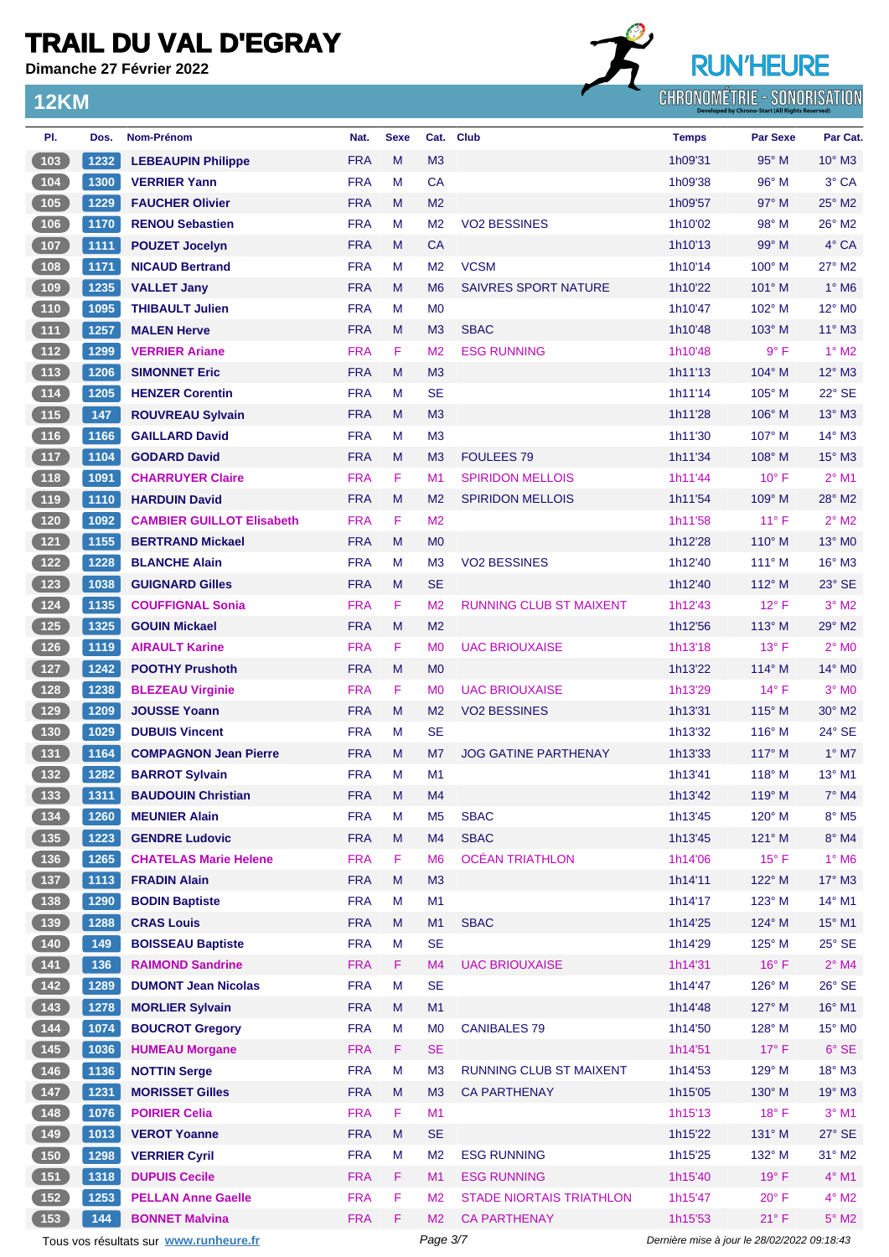**Dimanche 27 Février 2022**

#### **12KM**



| PI.                                               | Dos.  | Nom-Prénom                             | Nat.       | <b>Sexe</b> |                | Cat. Club                       | <b>Temps</b>                                | <b>Par Sexe</b> | Par Cat.                 |
|---------------------------------------------------|-------|----------------------------------------|------------|-------------|----------------|---------------------------------|---------------------------------------------|-----------------|--------------------------|
| (103)                                             | 1232  | <b>LEBEAUPIN Philippe</b>              | <b>FRA</b> | M           | M <sub>3</sub> |                                 | 1h09'31                                     | 95° M           | $10^{\circ}$ M3          |
| $104$                                             | 1300  | <b>VERRIER Yann</b>                    | <b>FRA</b> | м           | CA             |                                 | 1h09'38                                     | 96° M           | 3° CA                    |
| (105)                                             | 1229  | <b>FAUCHER Olivier</b>                 | <b>FRA</b> | M           | M <sub>2</sub> |                                 | 1h09'57                                     | $97^\circ$ M    | 25° M2                   |
| 106                                               | 1170  | <b>RENOU Sebastien</b>                 | <b>FRA</b> | м           | M <sub>2</sub> | <b>VO2 BESSINES</b>             | 1h10'02                                     | $98^\circ$ M    | 26° M2                   |
| (107)                                             | 1111  | <b>POUZET Jocelyn</b>                  | <b>FRA</b> | M           | <b>CA</b>      |                                 | 1h10'13                                     | 99° M           | 4° CA                    |
| 108                                               | 1171  | <b>NICAUD Bertrand</b>                 | <b>FRA</b> | M           | M <sub>2</sub> | <b>VCSM</b>                     | 1h10'14                                     | $100^\circ$ M   | $27^\circ$ M2            |
| (109                                              | 1235  | <b>VALLET Jany</b>                     | <b>FRA</b> | M           | M <sub>6</sub> | <b>SAIVRES SPORT NATURE</b>     | 1h10'22                                     | 101° M          | $1^\circ$ M <sub>6</sub> |
| (110)                                             | 1095  | <b>THIBAULT Julien</b>                 | <b>FRA</b> | M           | M <sub>0</sub> |                                 | 1h10'47                                     | $102^\circ$ M   | 12° M <sub>0</sub>       |
| (111)                                             | 1257  | <b>MALEN Herve</b>                     | <b>FRA</b> | M           | M <sub>3</sub> | <b>SBAC</b>                     | 1h10'48                                     | $103^\circ$ M   | $11^{\circ}$ M3          |
| $\boxed{112}$                                     | 1299  | <b>VERRIER Ariane</b>                  | <b>FRA</b> | F           | M <sub>2</sub> | <b>ESG RUNNING</b>              | 1h10'48                                     | 9° F            | $1^\circ$ M2             |
| (113)                                             | 1206  | <b>SIMONNET Eric</b>                   | <b>FRA</b> | M           | M3             |                                 | 1h11'13                                     | 104° M          | $12^{\circ}$ M3          |
| (114)                                             | 1205  | <b>HENZER Corentin</b>                 | <b>FRA</b> | м           | <b>SE</b>      |                                 | 1h11'14                                     | 105° M          | 22° SE                   |
| (115)                                             | 147   | <b>ROUVREAU Sylvain</b>                | <b>FRA</b> | M           | M <sub>3</sub> |                                 | 1h11'28                                     | $106^\circ$ M   | $13^\circ$ M3            |
| 116                                               | 1166  | <b>GAILLARD David</b>                  | <b>FRA</b> | м           | M3             |                                 | 1h11'30                                     | 107° M          | 14° M3                   |
| (117                                              | 1104  | <b>GODARD David</b>                    | <b>FRA</b> | M           | M <sub>3</sub> | <b>FOULEES 79</b>               | 1h11'34                                     | $108^\circ$ M   | $15^\circ$ M3            |
| $(118)$                                           | 1091  | <b>CHARRUYER Claire</b>                | <b>FRA</b> | F           | M <sub>1</sub> | <b>SPIRIDON MELLOIS</b>         | 1h11'44                                     | $10^{\circ}$ F  | $2^{\circ}$ M1           |
| (119                                              | 1110  | <b>HARDUIN David</b>                   | <b>FRA</b> | M           | M <sub>2</sub> | <b>SPIRIDON MELLOIS</b>         | 1h11'54                                     | $109^\circ$ M   | 28° M2                   |
| $\sqrt{120}$                                      | 1092  | <b>CAMBIER GUILLOT Elisabeth</b>       | <b>FRA</b> | F           | M <sub>2</sub> |                                 | 1h11'58                                     | $11^{\circ}$ F  | $2^{\circ}$ M2           |
| (121)                                             | 1155  | <b>BERTRAND Mickael</b>                | <b>FRA</b> | M           | M <sub>0</sub> |                                 | 1h12'28                                     | $110^{\circ}$ M | 13° MO                   |
| $122$                                             | 1228  | <b>BLANCHE Alain</b>                   | <b>FRA</b> | м           | M <sub>3</sub> | <b>VO2 BESSINES</b>             | 1h12'40                                     | $111^\circ$ M   | 16° M3                   |
| $123$                                             | 1038  | <b>GUIGNARD Gilles</b>                 | <b>FRA</b> | M           | <b>SE</b>      |                                 | 1h12'40                                     | $112^{\circ}$ M | 23° SE                   |
| $124$                                             | 1135  | <b>COUFFIGNAL Sonia</b>                | <b>FRA</b> | F           | M <sub>2</sub> | <b>RUNNING CLUB ST MAIXENT</b>  | 1h12'43                                     | $12^{\circ}$ F  | $3°$ M2                  |
| (125)                                             | 1325  | <b>GOUIN Mickael</b>                   | <b>FRA</b> | M           | M <sub>2</sub> |                                 | 1h12'56                                     | $113^\circ$ M   | 29° M2                   |
| $126$                                             | 1119  | <b>AIRAULT Karine</b>                  | <b>FRA</b> | F           | M <sub>0</sub> | <b>UAC BRIOUXAISE</b>           | 1h13'18                                     | $13^{\circ}$ F  | $2^{\circ}$ MO           |
| (127)                                             | 1242  | <b>POOTHY Prushoth</b>                 | <b>FRA</b> | M           | M <sub>0</sub> |                                 | 1h13'22                                     | 114° M          | 14° MO                   |
| (128)                                             | 1238  | <b>BLEZEAU Virginie</b>                | <b>FRA</b> | F           | M <sub>0</sub> | <b>UAC BRIOUXAISE</b>           | 1h13'29                                     | $14^{\circ}$ F  | $3°$ MO                  |
| (129)                                             | 1209  | <b>JOUSSE Yoann</b>                    | <b>FRA</b> | M           | M <sub>2</sub> | <b>VO2 BESSINES</b>             | 1h13'31                                     | 115° M          | $30^\circ$ M2            |
| 130                                               | 1029  | <b>DUBUIS Vincent</b>                  | <b>FRA</b> | M           | <b>SE</b>      |                                 | 1h13'32                                     | $116^\circ$ M   | 24° SE                   |
|                                                   |       |                                        | <b>FRA</b> | M           | M <sub>7</sub> | <b>JOG GATINE PARTHENAY</b>     |                                             | $117^\circ$ M   | $1^\circ$ M7             |
| (131)                                             | 1164  | <b>COMPAGNON Jean Pierre</b>           |            |             |                |                                 | 1h13'33                                     |                 | 13° M1                   |
| (132)                                             | 1282  | <b>BARROT Sylvain</b>                  | <b>FRA</b> | M           | M1             |                                 | 1h13'41                                     | $118^\circ$ M   |                          |
| (133)                                             | 1311  | <b>BAUDOUIN Christian</b>              | <b>FRA</b> | M           | M4             |                                 | 1h13'42                                     | $119°$ M        | $7^\circ$ M4             |
| 134                                               | 1260  | <b>MEUNIER Alain</b>                   | <b>FRA</b> | M           | M <sub>5</sub> | <b>SBAC</b>                     | 1h13'45                                     | 120° M          | $8^\circ$ M5             |
| (135)                                             | 1223  | <b>GENDRE Ludovic</b>                  | <b>FRA</b> | M           | M4             | <b>SBAC</b>                     | 1h13'45                                     | 121° M          | $8^\circ$ M4             |
| $\begin{array}{c} \n \textbf{136} \\ \end{array}$ | 1265  | <b>CHATELAS Marie Helene</b>           | <b>FRA</b> | F           | M <sub>6</sub> | <b>OCÉAN TRIATHLON</b>          | 1h14'06                                     | $15^{\circ}$ F  | $1^\circ$ M6             |
| (137)                                             | 1113  | <b>FRADIN Alain</b>                    | <b>FRA</b> | ${\sf M}$   | M <sub>3</sub> |                                 | 1h14'11                                     | 122° M          | 17° M3                   |
| $\begin{array}{c} \n \text{138}\n \end{array}$    | 1290  | <b>BODIN Baptiste</b>                  | <b>FRA</b> | M           | M1             |                                 | 1h14'17                                     | 123° M          | 14° M1                   |
| (139)                                             | 1288  | <b>CRAS Louis</b>                      | <b>FRA</b> | M           | M1             | <b>SBAC</b>                     | 1h14'25                                     | 124° M          | 15° M1                   |
| $\begin{array}{c} \hline 140 \end{array}$         | 149   | <b>BOISSEAU Baptiste</b>               | <b>FRA</b> | M           | <b>SE</b>      |                                 | 1h14'29                                     | 125° M          | $25^{\circ}$ SE          |
| (141)                                             | $136$ | <b>RAIMOND Sandrine</b>                | <b>FRA</b> | F           | M4             | <b>UAC BRIOUXAISE</b>           | 1h14'31                                     | $16^{\circ}$ F  | $2^{\circ}$ M4           |
| $142$                                             | 1289  | <b>DUMONT Jean Nicolas</b>             | <b>FRA</b> | М           | <b>SE</b>      |                                 | 1h14'47                                     | 126° M          | 26° SE                   |
| (143)                                             | 1278  | <b>MORLIER Sylvain</b>                 | <b>FRA</b> | ${\sf M}$   | M1             |                                 | 1h14'48                                     | 127° M          | 16° M1                   |
| 144                                               | 1074  | <b>BOUCROT Gregory</b>                 | <b>FRA</b> | M           | M <sub>0</sub> | <b>CANIBALES 79</b>             | 1h14'50                                     | 128° M          | 15° MO                   |
| (145)                                             | 1036  | <b>HUMEAU Morgane</b>                  | <b>FRA</b> | F           | <b>SE</b>      |                                 | 1h14'51                                     | $17^\circ$ F    | $6°$ SE                  |
| $(146)$                                           | 1136  | <b>NOTTIN Serge</b>                    | <b>FRA</b> | M           | M <sub>3</sub> | RUNNING CLUB ST MAIXENT         | 1h14'53                                     | 129° M          | $18^\circ$ M3            |
| (147)                                             | 1231  | <b>MORISSET Gilles</b>                 | <b>FRA</b> | ${\sf M}$   | M <sub>3</sub> | <b>CA PARTHENAY</b>             | 1h15'05                                     | 130° M          | 19° M3                   |
| 148                                               | 1076  | <b>POIRIER Celia</b>                   | <b>FRA</b> | F           | M1             |                                 | 1h15'13                                     | $18^{\circ}$ F  | $3°$ M1                  |
| (149)                                             | 1013  | <b>VEROT Yoanne</b>                    | <b>FRA</b> | M           | <b>SE</b>      |                                 | 1h15'22                                     | 131° M          | $27^\circ$ SE            |
| (150)                                             | 1298  | <b>VERRIER Cyril</b>                   | <b>FRA</b> | М           | M <sub>2</sub> | <b>ESG RUNNING</b>              | 1h15'25                                     | 132° M          | 31° M2                   |
| (151)                                             | 1318  | <b>DUPUIS Cecile</b>                   | <b>FRA</b> | F           | M1             | <b>ESG RUNNING</b>              | 1h15'40                                     | 19°F            | $4^\circ$ M1             |
| $152$                                             | 1253  | <b>PELLAN Anne Gaelle</b>              | <b>FRA</b> | F           | M <sub>2</sub> | <b>STADE NIORTAIS TRIATHLON</b> | 1h15'47                                     | $20^{\circ}$ F  | $4^\circ$ M2             |
| 153                                               | 144   | <b>BONNET Malvina</b>                  | <b>FRA</b> | F           | M <sub>2</sub> | <b>CA PARTHENAY</b>             | 1h15'53                                     | 21° F           | $5^\circ$ M2             |
|                                                   |       | Tous vos résultats sur www.runheure.fr |            |             | Page 3/7       |                                 | Dernière mise à jour le 28/02/2022 09:18:43 |                 |                          |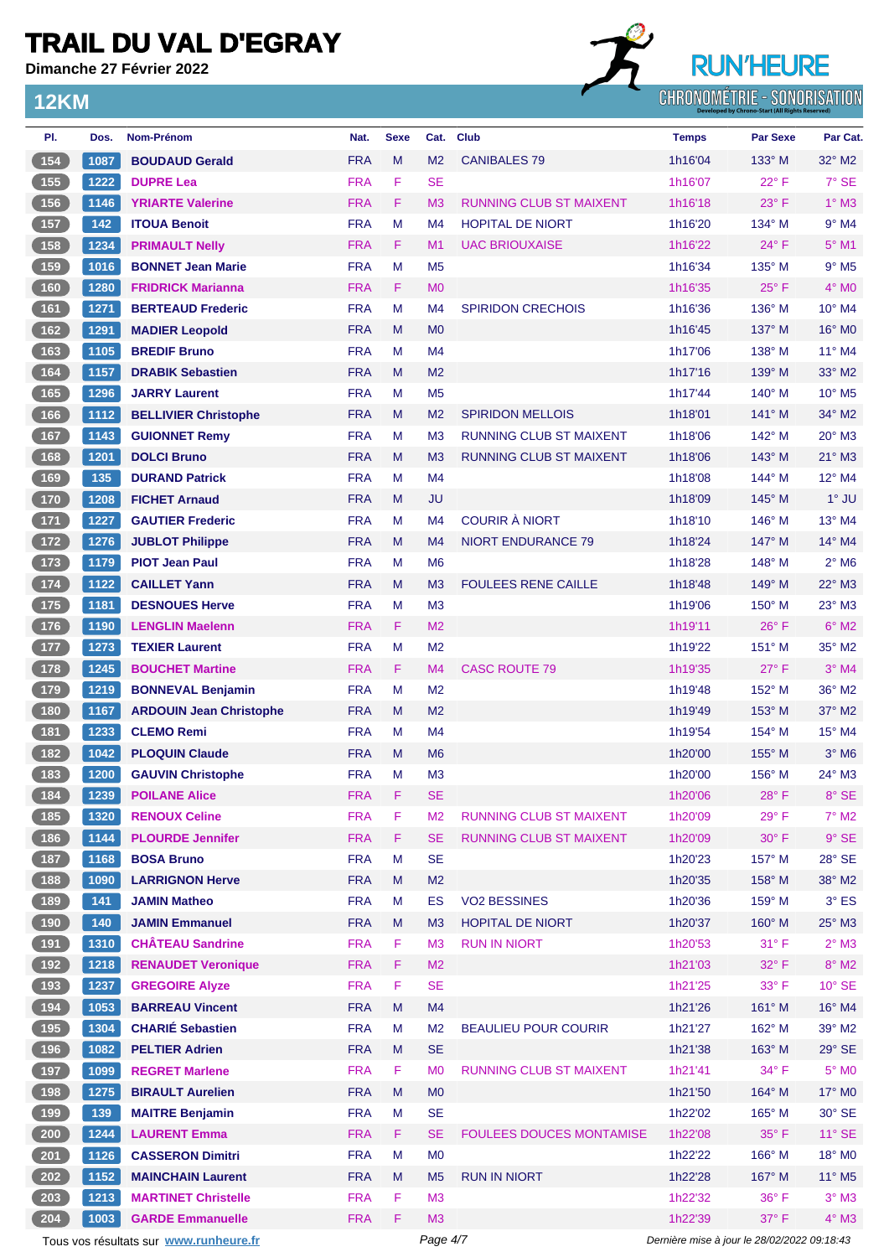**Dimanche 27 Février 2022**

**12KM**

## **RUN'HEURE** CHRONOMÉTRIE - SONORISATION

| PI.                                               | Dos.                                               | <b>Nom-Prénom</b>                      | Nat.       | <b>Sexe</b> | Cat.           | <b>Club</b>                     | <b>Temps</b>                                | <b>Par Sexe</b> | Par Cat.                   |
|---------------------------------------------------|----------------------------------------------------|----------------------------------------|------------|-------------|----------------|---------------------------------|---------------------------------------------|-----------------|----------------------------|
| (154)                                             | 1087                                               | <b>BOUDAUD Gerald</b>                  | <b>FRA</b> | M           | M <sub>2</sub> | <b>CANIBALES 79</b>             | 1h16'04                                     | $133^\circ$ M   | $32^\circ$ M2              |
| $155$                                             | 1222                                               | <b>DUPRE Lea</b>                       | <b>FRA</b> | F           | <b>SE</b>      |                                 | 1h16'07                                     | $22^{\circ}$ F  | 7° SE                      |
| (156)                                             | 1146                                               | <b>YRIARTE Valerine</b>                | <b>FRA</b> | F           | M <sub>3</sub> | <b>RUNNING CLUB ST MAIXENT</b>  | 1h16'18                                     | $23^\circ$ F    | $1^\circ$ M3               |
| 157                                               | 142                                                | <b>ITOUA Benoit</b>                    | <b>FRA</b> | M           | M4             | <b>HOPITAL DE NIORT</b>         | 1h16'20                                     | 134° M          | $9°$ M4                    |
| 158                                               | 1234                                               | <b>PRIMAULT Nelly</b>                  | <b>FRA</b> | F           | M <sub>1</sub> | <b>UAC BRIOUXAISE</b>           | 1h16'22                                     | $24^{\circ}$ F  | 5° M1                      |
| 159                                               | 1016                                               | <b>BONNET Jean Marie</b>               | <b>FRA</b> | M           | M <sub>5</sub> |                                 | 1h16'34                                     | 135° M          | $9^{\circ}$ M <sub>5</sub> |
| (160)                                             | 1280                                               | <b>FRIDRICK Marianna</b>               | <b>FRA</b> | F           | M <sub>0</sub> |                                 | 1h16'35                                     | $25^{\circ}$ F  | $4^\circ$ MO               |
| (161)                                             | 1271                                               | <b>BERTEAUD Frederic</b>               | <b>FRA</b> | M           | M4             | <b>SPIRIDON CRECHOIS</b>        | 1h16'36                                     | 136° M          | 10° M4                     |
| 162                                               | 1291                                               | <b>MADIER Leopold</b>                  | <b>FRA</b> | M           | M <sub>0</sub> |                                 | 1h16'45                                     | 137° M          | 16° M <sub>0</sub>         |
| (163)                                             | 1105                                               | <b>BREDIF Bruno</b>                    | <b>FRA</b> | м           | M <sub>4</sub> |                                 | 1h17'06                                     | 138° M          | 11° M4                     |
| (164)                                             | 1157                                               | <b>DRABIK Sebastien</b>                | <b>FRA</b> | M           | M <sub>2</sub> |                                 | 1h17'16                                     | 139° M          | $33^\circ$ M2              |
| 165                                               | 1296                                               | <b>JARRY Laurent</b>                   | <b>FRA</b> | M           | M <sub>5</sub> |                                 | 1h17'44                                     | $140^\circ$ M   | 10° M5                     |
| 166                                               | 1112                                               | <b>BELLIVIER Christophe</b>            | <b>FRA</b> | M           | M <sub>2</sub> | <b>SPIRIDON MELLOIS</b>         | 1h18'01                                     | $141^\circ$ M   | 34° M2                     |
| $167$                                             | 1143                                               | <b>GUIONNET Remy</b>                   | <b>FRA</b> | M           | M <sub>3</sub> | <b>RUNNING CLUB ST MAIXENT</b>  | 1h18'06                                     | 142° M          | $20^\circ$ M3              |
| (168)                                             | 1201                                               | <b>DOLCI Bruno</b>                     | <b>FRA</b> | M           | M <sub>3</sub> | <b>RUNNING CLUB ST MAIXENT</b>  | 1h18'06                                     | $143^\circ$ M   | $21^{\circ}$ M3            |
| 169                                               | 135                                                | <b>DURAND Patrick</b>                  | <b>FRA</b> | M           | M4             |                                 | 1h18'08                                     | $144^\circ$ M   | $12^{\circ}$ M4            |
| $\boxed{170}$                                     | 1208                                               | <b>FICHET Arnaud</b>                   | <b>FRA</b> | M           | <b>JU</b>      |                                 | 1h18'09                                     | $145^\circ$ M   | $1^\circ$ JU               |
| $171$                                             | 1227                                               | <b>GAUTIER Frederic</b>                | <b>FRA</b> | M           | M <sub>4</sub> | <b>COURIR À NIORT</b>           | 1h18'10                                     | $146^\circ$ M   | 13° M4                     |
| (172)                                             | 1276                                               |                                        | <b>FRA</b> | M           | M <sub>4</sub> | <b>NIORT ENDURANCE 79</b>       | 1h18'24                                     | 147° M          | 14° M4                     |
|                                                   |                                                    | <b>JUBLOT Philippe</b>                 | <b>FRA</b> | M           | M <sub>6</sub> |                                 |                                             | $148^\circ$ M   | $2^{\circ}$ M <sub>6</sub> |
| $173$                                             | 1179                                               | <b>PIOT Jean Paul</b>                  | <b>FRA</b> | M           |                |                                 | 1h18'28                                     | $149^\circ$ M   | 22° M3                     |
| (174)                                             | 1122                                               | <b>CAILLET Yann</b>                    |            |             | M <sub>3</sub> | <b>FOULEES RENE CAILLE</b>      | 1h18'48                                     |                 |                            |
| $175$                                             | 1181                                               | <b>DESNOUES Herve</b>                  | <b>FRA</b> | М           | M <sub>3</sub> |                                 | 1h19'06                                     | $150^\circ$ M   | $23^\circ$ M3              |
| (176)                                             | 1190                                               | <b>LENGLIN Maelenn</b>                 | <b>FRA</b> | F           | M <sub>2</sub> |                                 | 1h19'11                                     | $26^{\circ}$ F  | $6^\circ$ M2               |
| 177                                               | 1273                                               | <b>TEXIER Laurent</b>                  | <b>FRA</b> | M           | M <sub>2</sub> |                                 | 1h19'22                                     | 151° M          | 35° M2                     |
| (178)                                             | 1245                                               | <b>BOUCHET Martine</b>                 | <b>FRA</b> | F           | M <sub>4</sub> | <b>CASC ROUTE 79</b>            | 1h19'35                                     | $27^\circ$ F    | $3°$ M4                    |
| 179                                               | 1219                                               | <b>BONNEVAL Benjamin</b>               | <b>FRA</b> | M           | M <sub>2</sub> |                                 | 1h19'48                                     | 152° M          | 36° M2                     |
| (180                                              | 1167                                               | <b>ARDOUIN Jean Christophe</b>         | <b>FRA</b> | M           | M <sub>2</sub> |                                 | 1h19'49                                     | $153^\circ$ M   | $37^\circ$ M2              |
| $181$                                             | 1233                                               | <b>CLEMO Remi</b>                      | <b>FRA</b> | M           | M4             |                                 | 1h19'54                                     | 154° M          | $15^{\circ}$ M4            |
| $\sqrt{182}$                                      | 1042                                               | <b>PLOQUIN Claude</b>                  | <b>FRA</b> | M           | M <sub>6</sub> |                                 | 1h20'00                                     | $155^{\circ}$ M | $3°$ M <sub>6</sub>        |
| (183)                                             | 1200                                               | <b>GAUVIN Christophe</b>               | <b>FRA</b> | M           | M <sub>3</sub> |                                 | 1h20'00                                     | 156° M          | 24° M3                     |
| 184                                               | $\left[ \begin{array}{c} 1239 \end{array} \right]$ | <b>POILANE Alice</b>                   | <b>FRA</b> | F           | <b>SE</b>      |                                 | 1h20'06                                     | $28^{\circ}$ F  | 8° SE                      |
| $185$                                             | 1320                                               | <b>RENOUX Celine</b>                   | <b>FRA</b> | F           | M <sub>2</sub> | <b>RUNNING CLUB ST MAIXENT</b>  | 1h20'09                                     | $29°$ F         | $7^\circ$ M2               |
| (186)                                             | 1144                                               | <b>PLOURDE Jennifer</b>                | <b>FRA</b> | F           | <b>SE</b>      | <b>RUNNING CLUB ST MAIXENT</b>  | 1h20'09                                     | $30^\circ$ F    | $9°$ SE                    |
| $\begin{array}{c} \n \textbf{187} \\ \end{array}$ | 1168                                               | <b>BOSA Bruno</b>                      | <b>FRA</b> | M           | <b>SE</b>      |                                 | 1h20'23                                     | 157° M          | 28° SE                     |
| (188)                                             | 1090                                               | <b>LARRIGNON Herve</b>                 | <b>FRA</b> | M           | M <sub>2</sub> |                                 | 1h20'35                                     | 158° M          | 38° M2                     |
| $\begin{array}{c} \n \text{189}\n \end{array}$    | 141                                                | <b>JAMIN Matheo</b>                    | <b>FRA</b> | M           | ES             | <b>VO2 BESSINES</b>             | 1h20'36                                     | 159° M          | $3^\circ$ ES               |
| (190)                                             | 140                                                | <b>JAMIN Emmanuel</b>                  | <b>FRA</b> | M           | M <sub>3</sub> | <b>HOPITAL DE NIORT</b>         | 1h20'37                                     | 160° M          | 25° M3                     |
| 191                                               | 1310                                               | <b>CHÂTEAU Sandrine</b>                | <b>FRA</b> | F           | M <sub>3</sub> | <b>RUN IN NIORT</b>             | 1h20'53                                     | 31° F           | $2^{\circ}$ M3             |
| (192)                                             | 1218                                               | <b>RENAUDET Veronique</b>              | <b>FRA</b> | F           | M <sub>2</sub> |                                 | 1h21'03                                     | 32°F            | $8^\circ$ M2               |
| $\begin{array}{c} \boxed{193} \end{array}$        | 1237                                               | <b>GREGOIRE Alyze</b>                  | <b>FRA</b> | F           | <b>SE</b>      |                                 | 1h21'25                                     | 33° F           | $10^{\circ}$ SE            |
| (194)                                             | 1053                                               | <b>BARREAU Vincent</b>                 | <b>FRA</b> | M           | M4             |                                 | 1h21'26                                     | 161° M          | 16° M4                     |
| $195$                                             | 1304                                               | <b>CHARIÉ Sebastien</b>                | <b>FRA</b> | M           | M <sub>2</sub> | <b>BEAULIEU POUR COURIR</b>     | 1h21'27                                     | 162° M          | 39° M2                     |
| (196)                                             | 1082                                               | <b>PELTIER Adrien</b>                  | <b>FRA</b> | M           | <b>SE</b>      |                                 | 1h21'38                                     | 163° M          | 29° SE                     |
| $\boxed{197}$                                     | 1099                                               | <b>REGRET Marlene</b>                  | <b>FRA</b> | F           | M <sub>0</sub> | RUNNING CLUB ST MAIXENT         | 1h21'41                                     | $34^{\circ}$ F  | $5^\circ$ MO               |
| (198)                                             | 1275                                               | <b>BIRAULT Aurelien</b>                | <b>FRA</b> | M           | M <sub>0</sub> |                                 | 1h21'50                                     | 164° M          | 17° M0                     |
| 199                                               | 139                                                | <b>MAITRE Benjamin</b>                 | <b>FRA</b> | M           | <b>SE</b>      |                                 | 1h22'02                                     | 165° M          | $30^\circ$ SE              |
| $\boxed{200}$                                     | 1244                                               | <b>LAURENT Emma</b>                    | <b>FRA</b> | F           | <b>SE</b>      | <b>FOULEES DOUCES MONTAMISE</b> | 1h22'08                                     | $35^{\circ}$ F  | $11^{\circ}$ SE            |
| $201$                                             | 1126                                               | <b>CASSERON Dimitri</b>                | <b>FRA</b> | M           | M <sub>0</sub> |                                 | 1h22'22                                     | 166° M          | 18° MO                     |
| $\overline{202}$                                  | 1152                                               | <b>MAINCHAIN Laurent</b>               | <b>FRA</b> | M           | M <sub>5</sub> | <b>RUN IN NIORT</b>             | 1h22'28                                     | 167° M          | 11° M5                     |
| $\sqrt{203}$                                      | 1213                                               | <b>MARTINET Christelle</b>             | <b>FRA</b> | F           | M <sub>3</sub> |                                 | 1h22'32                                     | 36°F            | $3°$ M3                    |
| $204$                                             | 1003                                               | <b>GARDE Emmanuelle</b>                | <b>FRA</b> | F           | M <sub>3</sub> |                                 | 1h22'39                                     | 37° F           | $4^\circ$ M3               |
|                                                   |                                                    | Tous vos résultats sur www.runheure.fr |            |             | Page 4/7       |                                 | Dernière mise à jour le 28/02/2022 09:18:43 |                 |                            |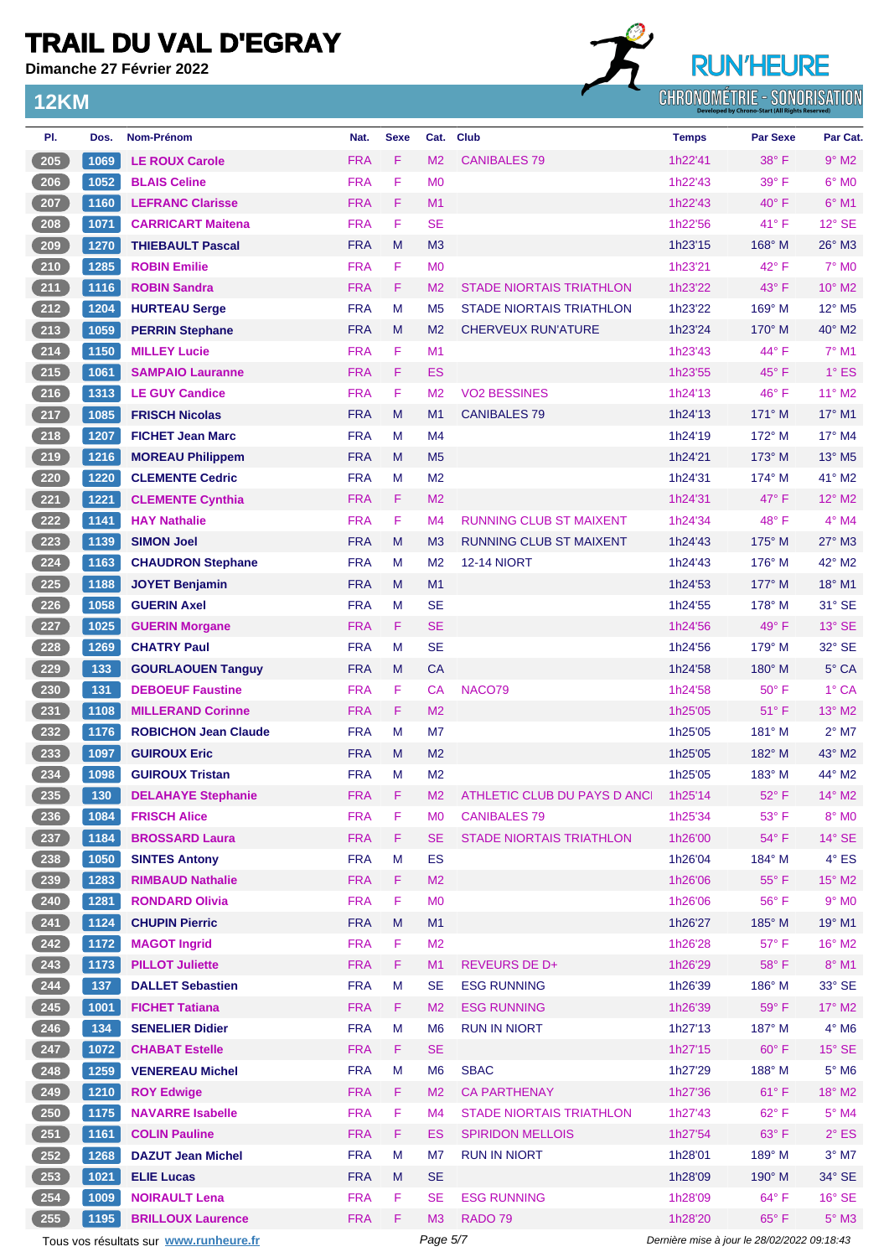**Dimanche 27 Février 2022**

**12KM**

## **RUN'HEURE** CHRONOMÉTRIE - SONORISATION

| PI.               | Dos. | <b>Nom-Prénom</b>                      | Nat.       | <b>Sexe</b> | Cat.           | <b>Club</b>                     | <b>Temps</b>                                | <b>Par Sexe</b> | Par Cat.                    |
|-------------------|------|----------------------------------------|------------|-------------|----------------|---------------------------------|---------------------------------------------|-----------------|-----------------------------|
| 205               | 1069 | <b>LE ROUX Carole</b>                  | <b>FRA</b> | F           | M <sub>2</sub> | <b>CANIBALES 79</b>             | 1h22'41                                     | 38° F           | $9°$ M <sub>2</sub>         |
| 206               | 1052 | <b>BLAIS Celine</b>                    | <b>FRA</b> | F           | M <sub>0</sub> |                                 | 1h22'43                                     | $39^\circ$ F    | $6^\circ$ M <sub>0</sub>    |
| 207               | 1160 | <b>LEFRANC Clarisse</b>                | <b>FRA</b> | F           | M <sub>1</sub> |                                 | 1h22'43                                     | $40^{\circ}$ F  | $6^{\circ}$ M1              |
| $208$             | 1071 | <b>CARRICART Maitena</b>               | <b>FRA</b> | F           | <b>SE</b>      |                                 | 1h22'56                                     | $41^{\circ}$ F  | $12^{\circ}$ SE             |
| $\frac{209}{200}$ | 1270 | <b>THIEBAULT Pascal</b>                | <b>FRA</b> | M           | M <sub>3</sub> |                                 | 1h23'15                                     | $168^\circ$ M   | $26^\circ$ M3               |
| 210               | 1285 | <b>ROBIN Emilie</b>                    | <b>FRA</b> | F           | M <sub>0</sub> |                                 | 1h23'21                                     | 42° F           | $7^\circ$ MO                |
| 211               | 1116 | <b>ROBIN Sandra</b>                    | <b>FRA</b> | F           | M <sub>2</sub> | <b>STADE NIORTAIS TRIATHLON</b> | 1h23'22                                     | $43^\circ$ F    | $10^{\circ}$ M2             |
| 212               | 1204 | <b>HURTEAU Serge</b>                   | <b>FRA</b> | M           | M <sub>5</sub> | <b>STADE NIORTAIS TRIATHLON</b> | 1h23'22                                     | 169° M          | $12^{\circ}$ M <sub>5</sub> |
| 213               | 1059 | <b>PERRIN Stephane</b>                 | <b>FRA</b> | M           | M <sub>2</sub> | <b>CHERVEUX RUN'ATURE</b>       | 1h23'24                                     | $170^\circ$ M   | 40° M2                      |
| 214               | 1150 | <b>MILLEY Lucie</b>                    | <b>FRA</b> | F           | M <sub>1</sub> |                                 | 1h23'43                                     | $44^{\circ}$ F  | $7^\circ$ M1                |
| $215$             | 1061 | <b>SAMPAIO Lauranne</b>                | <b>FRA</b> | F           | <b>ES</b>      |                                 | 1h23'55                                     | 45° F           | $1^\circ$ ES                |
| $216$             | 1313 | <b>LE GUY Candice</b>                  | <b>FRA</b> | F           | M <sub>2</sub> | <b>VO2 BESSINES</b>             | 1h24'13                                     | $46^{\circ}$ F  | $11^{\circ}$ M2             |
| 217               | 1085 | <b>FRISCH Nicolas</b>                  | <b>FRA</b> | M           | M1             | <b>CANIBALES 79</b>             | 1h24'13                                     | $171^\circ$ M   | $17^{\circ}$ M1             |
| $218$             | 1207 | <b>FICHET Jean Marc</b>                | <b>FRA</b> | M           | M4             |                                 | 1h24'19                                     | 172° M          | $17^\circ$ M4               |
| 219               | 1216 | <b>MOREAU Philippem</b>                | <b>FRA</b> | M           | M <sub>5</sub> |                                 | 1h24'21                                     | $173^\circ$ M   | $13^\circ$ M <sub>5</sub>   |
| 220               | 1220 | <b>CLEMENTE Cedric</b>                 | <b>FRA</b> | M           | M <sub>2</sub> |                                 | 1h24'31                                     | 174° M          | $41^\circ$ M2               |
| 221               | 1221 | <b>CLEMENTE Cynthia</b>                | <b>FRA</b> | F           | M <sub>2</sub> |                                 | 1h24'31                                     | $47^\circ$ F    | $12^{\circ}$ M2             |
| 222               | 1141 | <b>HAY Nathalie</b>                    | <b>FRA</b> | F           | M <sub>4</sub> | <b>RUNNING CLUB ST MAIXENT</b>  | 1h24'34                                     | 48° F           | $4^\circ$ M4                |
| 223               | 1139 | <b>SIMON Joel</b>                      | <b>FRA</b> | M           | M <sub>3</sub> | <b>RUNNING CLUB ST MAIXENT</b>  | 1h24'43                                     | $175^\circ$ M   | $27^\circ$ M3               |
| 224               | 1163 | <b>CHAUDRON Stephane</b>               | <b>FRA</b> | М           | M <sub>2</sub> | <b>12-14 NIORT</b>              | 1h24'43                                     | 176° M          | 42° M2                      |
| 225               | 1188 | <b>JOYET Benjamin</b>                  | <b>FRA</b> | M           | M1             |                                 | 1h24'53                                     | 177° M          | $18^{\circ}$ M1             |
| $226$             | 1058 | <b>GUERIN Axel</b>                     | <b>FRA</b> | M           | <b>SE</b>      |                                 | 1h24'55                                     | $178^\circ$ M   | 31° SE                      |
| 227               | 1025 | <b>GUERIN Morgane</b>                  | <b>FRA</b> | F           | <b>SE</b>      |                                 | 1h24'56                                     | $49^\circ$ F    | $13^\circ$ SE               |
| 228               | 1269 | <b>CHATRY Paul</b>                     | <b>FRA</b> | M           | <b>SE</b>      |                                 | 1h24'56                                     | 179° M          | 32° SE                      |
| 229               | 133  | <b>GOURLAOUEN Tanguy</b>               | <b>FRA</b> | M           | <b>CA</b>      |                                 | 1h24'58                                     | $180^\circ$ M   | 5° CA                       |
| $230$             | 131  | <b>DEBOEUF Faustine</b>                | <b>FRA</b> | F           | <b>CA</b>      | NACO79                          | 1h24'58                                     | $50^{\circ}$ F  | 1° CA                       |
| $231$             | 1108 | <b>MILLERAND Corinne</b>               | <b>FRA</b> | F           | M <sub>2</sub> |                                 | 1h25'05                                     | 51° F           | 13° M2                      |
| 232               | 1176 | <b>ROBICHON Jean Claude</b>            | <b>FRA</b> | M           | M7             |                                 | 1h25'05                                     | 181° M          | $2^{\circ}$ M7              |
| 233               | 1097 | <b>GUIROUX Eric</b>                    | <b>FRA</b> | M           | M <sub>2</sub> |                                 | 1h25'05                                     | $182^\circ$ M   | 43° M2                      |
| $234$             | 1098 | <b>GUIROUX Tristan</b>                 | <b>FRA</b> | М           | M <sub>2</sub> |                                 | 1h25'05                                     | $183^\circ$ M   | 44° M2                      |
| 235               | 130  | <b>DELAHAYE Stephanie</b>              | <b>FRA</b> | F           | M <sub>2</sub> | ATHLETIC CLUB DU PAYS D ANC     | 1h25'14                                     | 52°F            | 14° M2                      |
| 236               | 1084 | <b>FRISCH Alice</b>                    | <b>FRA</b> | F           | M <sub>0</sub> | <b>CANIBALES 79</b>             | 1h25'34                                     | $53^\circ$ F    | $8^\circ$ MO                |
| 237               | 1184 | <b>BROSSARD Laura</b>                  | <b>FRA</b> | F           | <b>SE</b>      | <b>STADE NIORTAIS TRIATHLON</b> | 1h26'00                                     | 54° F           | $14^\circ$ SE               |
| $238$             | 1050 | <b>SINTES Antony</b>                   | <b>FRA</b> | M           | <b>ES</b>      |                                 | 1h26'04                                     | $184^\circ$ M   | $4^\circ$ ES                |
| 239               | 1283 | <b>RIMBAUD Nathalie</b>                | <b>FRA</b> | F           | M <sub>2</sub> |                                 | 1h26'06                                     | $55^{\circ}$ F  | $15^\circ$ M2               |
| 240               | 1281 | <b>RONDARD Olivia</b>                  | <b>FRA</b> | F           | M <sub>0</sub> |                                 | 1h26'06                                     | 56°F            | $9°$ MO                     |
| 241               | 1124 | <b>CHUPIN Pierric</b>                  | <b>FRA</b> | M           | M1             |                                 | 1h26'27                                     | 185° M          | 19° M1                      |
| 242               | 1172 | <b>MAGOT Ingrid</b>                    | <b>FRA</b> | F           | M <sub>2</sub> |                                 | 1h26'28                                     | $57^\circ$ F    | $16^{\circ}$ M2             |
| 243               | 1173 | <b>PILLOT Juliette</b>                 | <b>FRA</b> | F           | M1             | <b>REVEURS DE D+</b>            | 1h26'29                                     | 58°F            | $8^\circ$ M1                |
| 244               | 137  | <b>DALLET Sebastien</b>                | <b>FRA</b> | M           | <b>SE</b>      | <b>ESG RUNNING</b>              | 1h26'39                                     | 186° M          | 33° SE                      |
| 245               | 1001 | <b>FICHET Tatiana</b>                  | <b>FRA</b> | F.          | M <sub>2</sub> | <b>ESG RUNNING</b>              | 1h26'39                                     | 59°F            | $17^\circ$ M2               |
| 246               | 134  | <b>SENELIER Didier</b>                 | <b>FRA</b> | M           | M <sub>6</sub> | <b>RUN IN NIORT</b>             | 1h27'13                                     | 187° M          | $4^\circ$ M6                |
| 247               | 1072 | <b>CHABAT Estelle</b>                  | <b>FRA</b> | F.          | <b>SE</b>      |                                 | 1h27'15                                     | $60^\circ$ F    | $15^\circ$ SE               |
| $248$             | 1259 | <b>VENEREAU Michel</b>                 | <b>FRA</b> | M           | M <sub>6</sub> | <b>SBAC</b>                     | 1h27'29                                     | 188° M          | $5^\circ$ M6                |
| 249               | 1210 | <b>ROY Edwige</b>                      | <b>FRA</b> | F.          | M <sub>2</sub> | <b>CA PARTHENAY</b>             | 1h27'36                                     | $61^{\circ}$ F  | 18° M2                      |
| 250               | 1175 | <b>NAVARRE Isabelle</b>                | <b>FRA</b> | F           | M4             | <b>STADE NIORTAIS TRIATHLON</b> | 1h27'43                                     | $62^{\circ}$ F  | $5^\circ$ M4                |
| 251               | 1161 | <b>COLIN Pauline</b>                   | <b>FRA</b> | F           | ES             | <b>SPIRIDON MELLOIS</b>         | 1h27'54                                     | 63° F           | $2^{\circ}$ ES              |
| $252$             | 1268 | <b>DAZUT Jean Michel</b>               | <b>FRA</b> | M           | M7             | <b>RUN IN NIORT</b>             | 1h28'01                                     | 189° M          | $3^\circ$ M7                |
| 253               | 1021 | <b>ELIE Lucas</b>                      | <b>FRA</b> | M           | <b>SE</b>      |                                 | 1h28'09                                     | 190° M          | 34° SE                      |
| 254               | 1009 | <b>NOIRAULT Lena</b>                   | <b>FRA</b> | F           | <b>SE</b>      | <b>ESG RUNNING</b>              | 1h28'09                                     | $64^{\circ}$ F  | $16°$ SE                    |
| 255               | 1195 | <b>BRILLOUX Laurence</b>               | <b>FRA</b> | F           | M3             | RADO <sub>79</sub>              | 1h28'20                                     | $65^{\circ}$ F  | $5^\circ$ M3                |
|                   |      | Tous vos résultats sur www.runheure.fr |            |             | Page 5/7       |                                 | Dernière mise à jour le 28/02/2022 09:18:43 |                 |                             |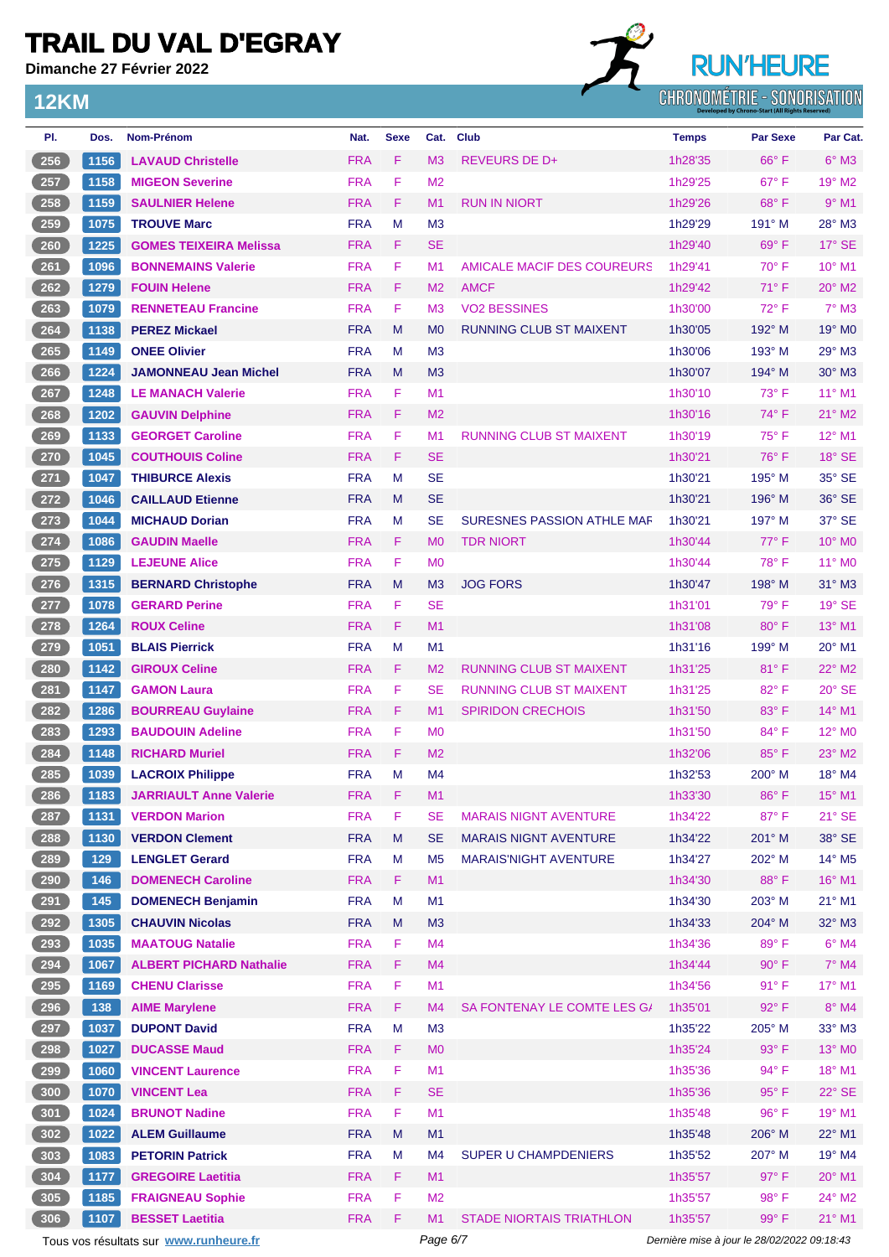**Dimanche 27 Février 2022**

**12KM**



| PI.                | Dos. | <b>Nom-Prénom</b>                      | Nat.       | <b>Sexe</b> | Cat.           | Club                              | <b>Temps</b> | <b>Par Sexe</b>                             | Par Cat.           |
|--------------------|------|----------------------------------------|------------|-------------|----------------|-----------------------------------|--------------|---------------------------------------------|--------------------|
| 256                | 1156 | <b>LAVAUD Christelle</b>               | <b>FRA</b> | F           | M <sub>3</sub> | <b>REVEURS DE D+</b>              | 1h28'35      | $66^{\circ}$ F                              | $6^\circ$ M3       |
| 257                | 1158 | <b>MIGEON Severine</b>                 | <b>FRA</b> | F           | M <sub>2</sub> |                                   | 1h29'25      | $67^\circ$ F                                | 19° M2             |
| 258                | 1159 | <b>SAULNIER Helene</b>                 | <b>FRA</b> | F           | M1             | <b>RUN IN NIORT</b>               | 1h29'26      | $68^{\circ}$ F                              | $9°$ M1            |
| 259                | 1075 | <b>TROUVE Marc</b>                     | <b>FRA</b> | M           | M <sub>3</sub> |                                   | 1h29'29      | 191° M                                      | 28° M3             |
| 260                | 1225 | <b>GOMES TEIXEIRA Melissa</b>          | <b>FRA</b> | F           | <b>SE</b>      |                                   | 1h29'40      | 69°F                                        | $17^\circ$ SE      |
| 261                | 1096 | <b>BONNEMAINS Valerie</b>              | <b>FRA</b> | F           | M1             | AMICALE MACIF DES COUREURS        | 1h29'41      | 70° F                                       | 10° M1             |
| 262                | 1279 | <b>FOUIN Helene</b>                    | <b>FRA</b> | F           | M <sub>2</sub> | <b>AMCF</b>                       | 1h29'42      | $71^{\circ}$ F                              | $20^\circ$ M2      |
| 263                | 1079 | <b>RENNETEAU Francine</b>              | <b>FRA</b> | F           | M <sub>3</sub> | <b>VO2 BESSINES</b>               | 1h30'00      | $72^{\circ}$ F                              | $7^\circ$ M3       |
| 264                | 1138 | <b>PEREZ Mickael</b>                   | <b>FRA</b> | M           | M <sub>0</sub> | <b>RUNNING CLUB ST MAIXENT</b>    | 1h30'05      | 192° M                                      | 19° M <sub>0</sub> |
| 265                | 1149 | <b>ONEE Olivier</b>                    | <b>FRA</b> | м           | M <sub>3</sub> |                                   | 1h30'06      | $193^\circ$ M                               | $29°$ M3           |
| 266                | 1224 | <b>JAMONNEAU Jean Michel</b>           | <b>FRA</b> | M           | M <sub>3</sub> |                                   | 1h30'07      | 194° M                                      | $30^\circ$ M3      |
| 267                | 1248 | <b>LE MANACH Valerie</b>               | <b>FRA</b> | F           | M1             |                                   | 1h30'10      | $73^{\circ}$ F                              | $11^{\circ}$ M1    |
| 268                | 1202 | <b>GAUVIN Delphine</b>                 | <b>FRA</b> | F           | M <sub>2</sub> |                                   | 1h30'16      | $74^{\circ}$ F                              | $21^\circ$ M2      |
| 269                | 1133 | <b>GEORGET Caroline</b>                | <b>FRA</b> | F           | M <sub>1</sub> | <b>RUNNING CLUB ST MAIXENT</b>    | 1h30'19      | $75^{\circ}$ F                              | 12° M1             |
| 270                | 1045 | <b>COUTHOUIS Coline</b>                | <b>FRA</b> | F           | <b>SE</b>      |                                   | 1h30'21      | 76°F                                        | $18^\circ$ SE      |
| 271                | 1047 | <b>THIBURCE Alexis</b>                 | <b>FRA</b> | M           | <b>SE</b>      |                                   | 1h30'21      | 195° M                                      | 35° SE             |
| 272                | 1046 | <b>CAILLAUD Etienne</b>                | <b>FRA</b> | M           | <b>SE</b>      |                                   | 1h30'21      | $196^\circ$ M                               | $36^\circ$ SE      |
| 273                | 1044 | <b>MICHAUD Dorian</b>                  | <b>FRA</b> | M           | <b>SE</b>      | <b>SURESNES PASSION ATHLE MAF</b> | 1h30'21      | $197^\circ$ M                               | 37° SE             |
| 274                | 1086 | <b>GAUDIN Maelle</b>                   | <b>FRA</b> | F           | M <sub>0</sub> | <b>TDR NIORT</b>                  | 1h30'44      | $77^\circ$ F                                | 10° M0             |
| $275$              | 1129 | <b>LEJEUNE Alice</b>                   | <b>FRA</b> | F           | M <sub>0</sub> |                                   | 1h30'44      | 78° F                                       | 11° M0             |
| $\frac{276}{2}$    | 1315 | <b>BERNARD Christophe</b>              | <b>FRA</b> | M           | M <sub>3</sub> | <b>JOG FORS</b>                   | 1h30'47      | $198^\circ$ M                               | $31^\circ$ M3      |
| 277                | 1078 | <b>GERARD Perine</b>                   | <b>FRA</b> | F           | <b>SE</b>      |                                   | 1h31'01      | $79^\circ$ F                                | 19° SE             |
| 278                | 1264 | <b>ROUX Celine</b>                     | <b>FRA</b> | F           | M1             |                                   | 1h31'08      | $80^\circ$ F                                | $13^{\circ}$ M1    |
| 279                | 1051 | <b>BLAIS Pierrick</b>                  | <b>FRA</b> | M           | M <sub>1</sub> |                                   | 1h31'16      | 199° M                                      | 20° M1             |
| 280                | 1142 | <b>GIROUX Celine</b>                   | <b>FRA</b> | F           | M <sub>2</sub> | <b>RUNNING CLUB ST MAIXENT</b>    | 1h31'25      | 81°F                                        | 22° M2             |
| 281                | 1147 | <b>GAMON Laura</b>                     | <b>FRA</b> | F           | <b>SE</b>      | <b>RUNNING CLUB ST MAIXENT</b>    | 1h31'25      | 82°F                                        | $20^\circ$ SE      |
| 282                | 1286 | <b>BOURREAU Guylaine</b>               | <b>FRA</b> | F           | M <sub>1</sub> | <b>SPIRIDON CRECHOIS</b>          | 1h31'50      | 83°F                                        | 14° M1             |
| 283                | 1293 | <b>BAUDOUIN Adeline</b>                | <b>FRA</b> | F           | M <sub>0</sub> |                                   | 1h31'50      | 84°F                                        | $12^{\circ}$ MO    |
| 284                | 1148 | <b>RICHARD Muriel</b>                  | <b>FRA</b> | F           | M <sub>2</sub> |                                   | 1h32'06      | $85^{\circ}$ F                              | $23^\circ$ M2      |
| 285                | 1039 | <b>LACROIX Philippe</b>                | <b>FRA</b> | M           | M4             |                                   | 1h32'53      | 200° M                                      | 18° M4             |
| (286)              | 1183 | <b>JARRIAULT Anne Valerie</b>          | <b>FRA</b> | F.          | M1             |                                   | 1h33'30      | $86^{\circ}$ F                              | 15° M1             |
| 287                | 1131 | <b>VERDON Marion</b>                   | <b>FRA</b> | F           | <b>SE</b>      | <b>MARAIS NIGNT AVENTURE</b>      | 1h34'22      | 87°F                                        | 21° SE             |
| 288                | 1130 | <b>VERDON Clement</b>                  | <b>FRA</b> | M           | <b>SE</b>      | <b>MARAIS NIGNT AVENTURE</b>      | 1h34'22      | 201° M                                      | 38° SE             |
| 289                | 129  | <b>LENGLET Gerard</b>                  | <b>FRA</b> | M           | M <sub>5</sub> | <b>MARAIS'NIGHT AVENTURE</b>      | 1h34'27      | 202° M                                      | 14° M5             |
| 290                | 146  | <b>DOMENECH Caroline</b>               | <b>FRA</b> | F.          | M1             |                                   | 1h34'30      | 88°F                                        | 16° M1             |
| 291                | 145  | <b>DOMENECH Benjamin</b>               | <b>FRA</b> | M           | M1             |                                   | 1h34'30      | 203° M                                      | $21^{\circ}$ M1    |
| 292                | 1305 | <b>CHAUVIN Nicolas</b>                 | <b>FRA</b> | M           | M <sub>3</sub> |                                   | 1h34'33      | 204° M                                      | 32° M3             |
| 293                | 1035 | <b>MAATOUG Natalie</b>                 | <b>FRA</b> | F           | M4             |                                   | 1h34'36      | 89° F                                       | $6°$ M4            |
| 294                | 1067 | <b>ALBERT PICHARD Nathalie</b>         | <b>FRA</b> | F           | M4             |                                   | 1h34'44      | $90^\circ$ F                                | 7° M4              |
| $295$              | 1169 | <b>CHENU Clarisse</b>                  | <b>FRA</b> | F           | M1             |                                   | 1h34'56      | 91° F                                       | 17° M1             |
| 296                | 138  | <b>AIME Marylene</b>                   | <b>FRA</b> | F           | M4             | SA FONTENAY LE COMTE LES G/       | 1h35'01      | 92°F                                        | 8° M4              |
| 297                | 1037 | <b>DUPONT David</b>                    | <b>FRA</b> | М           | M <sub>3</sub> |                                   | 1h35'22      | 205° M                                      | $33^\circ$ M3      |
| 298                | 1027 | <b>DUCASSE Maud</b>                    | <b>FRA</b> | F           | M <sub>0</sub> |                                   | 1h35'24      | 93° F                                       | 13° MO             |
| 299                | 1060 | <b>VINCENT Laurence</b>                | <b>FRA</b> | F           | M1             |                                   | 1h35'36      | 94° F                                       | 18° M1             |
| 300                | 1070 | <b>VINCENT Lea</b>                     | <b>FRA</b> | F           | <b>SE</b>      |                                   | 1h35'36      | $95^{\circ}$ F                              | $22^\circ$ SE      |
| 301                | 1024 | <b>BRUNOT Nadine</b>                   | <b>FRA</b> | F           | M1             |                                   | 1h35'48      | 96°F                                        | 19° M1             |
| $\left(302\right)$ | 1022 | <b>ALEM Guillaume</b>                  | <b>FRA</b> | M           | M1             |                                   | 1h35'48      | 206° M                                      | 22° M1             |
| 303                | 1083 | <b>PETORIN Patrick</b>                 | <b>FRA</b> | M           | M4             | SUPER U CHAMPDENIERS              | 1h35'52      | 207° M                                      | $19^\circ$ M4      |
| 304                | 1177 | <b>GREGOIRE Laetitia</b>               | <b>FRA</b> | F           | M1             |                                   | 1h35'57      | $97^\circ$ F                                | 20° M1             |
| 305                | 1185 | <b>FRAIGNEAU Sophie</b>                | <b>FRA</b> | F           | M <sub>2</sub> |                                   | 1h35'57      | $98^{\circ}$ F                              | 24° M2             |
| 306                | 1107 | <b>BESSET Laetitia</b>                 | <b>FRA</b> | F           | M1             | <b>STADE NIORTAIS TRIATHLON</b>   | 1h35'57      | 99°F                                        | $21^{\circ}$ M1    |
|                    |      | Tous vos résultats sur www.runheure.fr |            |             | Page 6/7       |                                   |              | Dernière mise à jour le 28/02/2022 09:18:43 |                    |